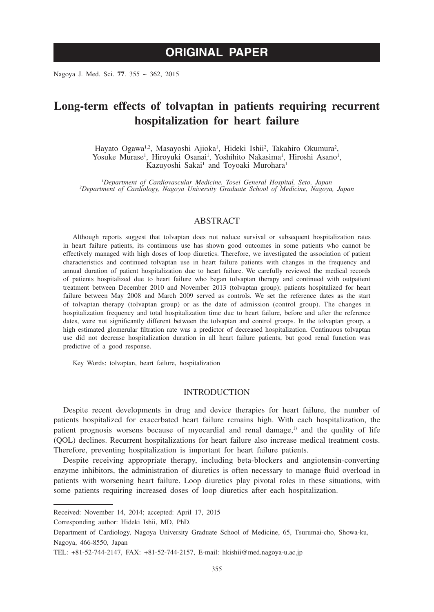# **ORIGINAL PAPER**

Nagoya J. Med. Sci. **77**. 355 ~ 362, 2015

## **Long-term effects of tolvaptan in patients requiring recurrent hospitalization for heart failure**

Hayato Ogawa<sup>1,2</sup>, Masayoshi Ajioka<sup>1</sup>, Hideki Ishii<sup>2</sup>, Takahiro Okumura<sup>2</sup>, Yosuke Murase<sup>1</sup>, Hiroyuki Osanai<sup>1</sup>, Yoshihito Nakasima<sup>1</sup>, Hiroshi Asano<sup>1</sup>, Kazuyoshi Sakai<sup>1</sup> and Toyoaki Murohara<sup>1</sup>

*1 Department of Cardiovascular Medicine, Tosei General Hospital, Seto, Japan <sup>2</sup> Department of Cardiology, Nagoya University Graduate School of Medicine, Nagoya, Japan*

### ABSTRACT

Although reports suggest that tolvaptan does not reduce survival or subsequent hospitalization rates in heart failure patients, its continuous use has shown good outcomes in some patients who cannot be effectively managed with high doses of loop diuretics. Therefore, we investigated the association of patient characteristics and continued tolvaptan use in heart failure patients with changes in the frequency and annual duration of patient hospitalization due to heart failure. We carefully reviewed the medical records of patients hospitalized due to heart failure who began tolvaptan therapy and continued with outpatient treatment between December 2010 and November 2013 (tolvaptan group); patients hospitalized for heart failure between May 2008 and March 2009 served as controls. We set the reference dates as the start of tolvaptan therapy (tolvaptan group) or as the date of admission (control group). The changes in hospitalization frequency and total hospitalization time due to heart failure, before and after the reference dates, were not significantly different between the tolvaptan and control groups. In the tolvaptan group, a high estimated glomerular filtration rate was a predictor of decreased hospitalization. Continuous tolvaptan use did not decrease hospitalization duration in all heart failure patients, but good renal function was predictive of a good response.

Key Words: tolvaptan, heart failure, hospitalization

#### **INTRODUCTION**

Despite recent developments in drug and device therapies for heart failure, the number of patients hospitalized for exacerbated heart failure remains high. With each hospitalization, the patient prognosis worsens because of myocardial and renal damage,<sup>1)</sup> and the quality of life (QOL) declines. Recurrent hospitalizations for heart failure also increase medical treatment costs. Therefore, preventing hospitalization is important for heart failure patients.

Despite receiving appropriate therapy, including beta-blockers and angiotensin-converting enzyme inhibitors, the administration of diuretics is often necessary to manage fluid overload in patients with worsening heart failure. Loop diuretics play pivotal roles in these situations, with some patients requiring increased doses of loop diuretics after each hospitalization.

Corresponding author: Hideki Ishii, MD, PhD.

Received: November 14, 2014; accepted: April 17, 2015

Department of Cardiology, Nagoya University Graduate School of Medicine, 65, Tsurumai-cho, Showa-ku, Nagoya, 466-8550, Japan

TEL: +81-52-744-2147, FAX: +81-52-744-2157, E-mail: hkishii@med.nagoya-u.ac.jp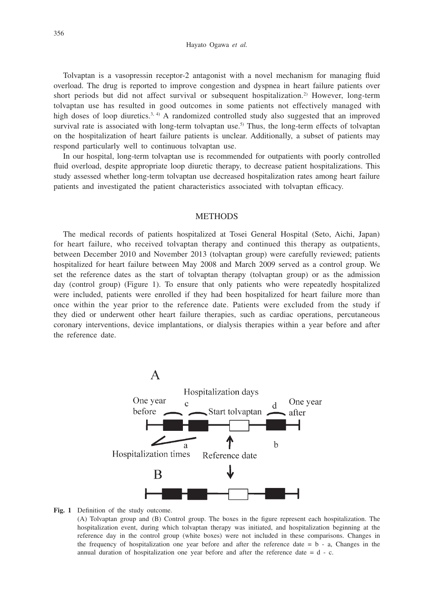Hayato Ogawa *et al.*

Tolvaptan is a vasopressin receptor-2 antagonist with a novel mechanism for managing fluid overload. The drug is reported to improve congestion and dyspnea in heart failure patients over short periods but did not affect survival or subsequent hospitalization.<sup>2)</sup> However, long-term tolvaptan use has resulted in good outcomes in some patients not effectively managed with high doses of loop diuretics.<sup>3, 4</sup>) A randomized controlled study also suggested that an improved survival rate is associated with long-term tolvaptan use.<sup>5)</sup> Thus, the long-term effects of tolvaptan on the hospitalization of heart failure patients is unclear. Additionally, a subset of patients may respond particularly well to continuous tolvaptan use.

In our hospital, long-term tolvaptan use is recommended for outpatients with poorly controlled fluid overload, despite appropriate loop diuretic therapy, to decrease patient hospitalizations. This study assessed whether long-term tolvaptan use decreased hospitalization rates among heart failure patients and investigated the patient characteristics associated with tolvaptan efficacy.

## **METHODS**

The medical records of patients hospitalized at Tosei General Hospital (Seto, Aichi, Japan) for heart failure, who received tolvaptan therapy and continued this therapy as outpatients, between December 2010 and November 2013 (tolvaptan group) were carefully reviewed; patients hospitalized for heart failure between May 2008 and March 2009 served as a control group. We set the reference dates as the start of tolvaptan therapy (tolvaptan group) or as the admission day (control group) (Figure 1). To ensure that only patients who were repeatedly hospitalized were included, patients were enrolled if they had been hospitalized for heart failure more than once within the year prior to the reference date. Patients were excluded from the study if they died or underwent other heart failure therapies, such as cardiac operations, percutaneous coronary interventions, device implantations, or dialysis therapies within a year before and after the reference date.



#### **Fig. 1** Definition of the study outcome.

(A) Tolvaptan group and (B) Control group. The boxes in the figure represent each hospitalization. The hospitalization event, during which tolvaptan therapy was initiated, and hospitalization beginning at the reference day in the control group (white boxes) were not included in these comparisons. Changes in the frequency of hospitalization one year before and after the reference date  $= b - a$ , Changes in the annual duration of hospitalization one year before and after the reference date  $= d - c$ .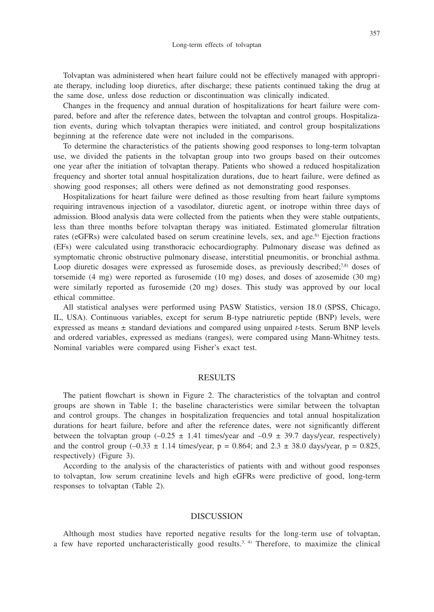Tolvaptan was administered when heart failure could not be effectively managed with appropriate therapy, including loop diuretics, after discharge; these patients continued taking the drug at the same dose, unless dose reduction or discontinuation was clinically indicated.

Changes in the frequency and annual duration of hospitalizations for heart failure were compared, before and after the reference dates, between the tolvaptan and control groups. Hospitalization events, during which tolvaptan therapies were initiated, and control group hospitalizations beginning at the reference date were not included in the comparisons.

To determine the characteristics of the patients showing good responses to long-term tolvaptan use, we divided the patients in the tolvaptan group into two groups based on their outcomes one year after the initiation of tolvaptan therapy. Patients who showed a reduced hospitalization frequency and shorter total annual hospitalization durations, due to heart failure, were defined as showing good responses; all others were defined as not demonstrating good responses.

Hospitalizations for heart failure were defined as those resulting from heart failure symptoms requiring intravenous injection of a vasodilator, diuretic agent, or inotrope within three days of admission. Blood analysis data were collected from the patients when they were stable outpatients, less than three months before tolvaptan therapy was initiated. Estimated glomerular filtration rates (eGFRs) were calculated based on serum creatinine levels, sex, and age.<sup>6)</sup> Ejection fractions (EFs) were calculated using transthoracic echocardiography. Pulmonary disease was defined as symptomatic chronic obstructive pulmonary disease, interstitial pneumonitis, or bronchial asthma. Loop diuretic dosages were expressed as furosemide doses, as previously described;<sup>7,8)</sup> doses of torsemide (4 mg) were reported as furosemide (10 mg) doses, and doses of azosemide (30 mg) were similarly reported as furosemide (20 mg) doses. This study was approved by our local ethical committee.

All statistical analyses were performed using PASW Statistics, version 18.0 (SPSS, Chicago, IL, USA). Continuous variables, except for serum B-type natriuretic peptide (BNP) levels, were expressed as means ± standard deviations and compared using unpaired *t*-tests. Serum BNP levels and ordered variables, expressed as medians (ranges), were compared using Mann-Whitney tests. Nominal variables were compared using Fisher's exact test.

#### RESULTS

The patient flowchart is shown in Figure 2. The characteristics of the tolvaptan and control groups are shown in Table 1; the baseline characteristics were similar between the tolvaptan and control groups. The changes in hospitalization frequencies and total annual hospitalization durations for heart failure, before and after the reference dates, were not significantly different between the tolvaptan group  $(-0.25 \pm 1.41)$  times/year and  $-0.9 \pm 39.7$  days/year, respectively) and the control group  $(-0.33 \pm 1.14$  times/year,  $p = 0.864$ ; and  $2.3 \pm 38.0$  days/year,  $p = 0.825$ , respectively) (Figure 3).

According to the analysis of the characteristics of patients with and without good responses to tolvaptan, low serum creatinine levels and high eGFRs were predictive of good, long-term responses to tolvaptan (Table 2).

#### DISCUSSION

Although most studies have reported negative results for the long-term use of tolvaptan, a few have reported uncharacteristically good results.<sup>3, 4)</sup> Therefore, to maximize the clinical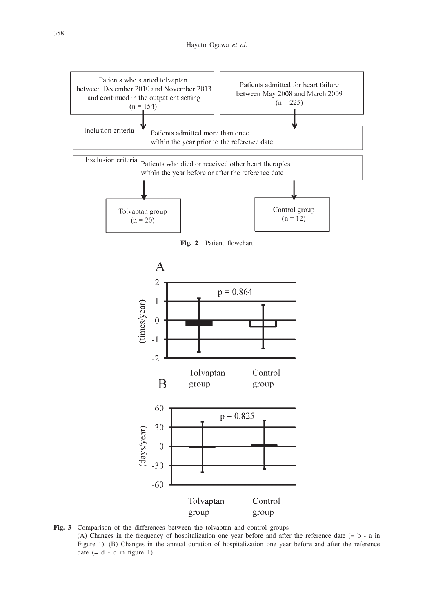

**Fig. 3** Comparison of the differences between the tolvaptan and control groups (A) Changes in the frequency of hospitalization one year before and after the reference date (= b - a in Figure 1), (B) Changes in the annual duration of hospitalization one year before and after the reference date  $(= d - c \text{ in figure 1}).$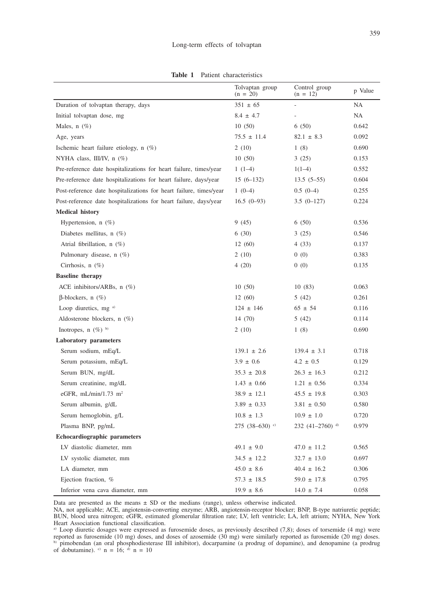|                                                                    | Tolvaptan group<br>$(n = 20)$ | Control group<br>$(n = 12)$ | p Value |
|--------------------------------------------------------------------|-------------------------------|-----------------------------|---------|
| Duration of tolvaptan therapy, days                                | $351 \pm 65$                  | $\overline{a}$              | NA      |
| Initial tolvaptan dose, mg                                         | $8.4 \pm 4.7$                 | $\overline{a}$              | NA      |
| Males, $n$ (%)                                                     | 10(50)                        | 6(50)                       | 0.642   |
| Age, years                                                         | $75.5 \pm 11.4$               | $82.1 \pm 8.3$              | 0.092   |
| Ischemic heart failure etiology, $n$ (%)                           | 2(10)                         | 1(8)                        | 0.690   |
| NYHA class, III/IV, $n$ (%)                                        | 10(50)                        | 3(25)                       | 0.153   |
| Pre-reference date hospitalizations for heart failure, times/year  | $1(1-4)$                      | $1(1-4)$                    | 0.552   |
| Pre-reference date hospitalizations for heart failure, days/year   | $15(6-132)$                   | $13.5(5-55)$                | 0.604   |
| Post-reference date hospitalizations for heart failure, times/year | $1(0-4)$                      | $0.5(0-4)$                  | 0.255   |
| Post-reference date hospitalizations for heart failure, days/year  | $16.5(0-93)$                  | $3.5(0-127)$                | 0.224   |
| <b>Medical history</b>                                             |                               |                             |         |
| Hypertension, $n$ (%)                                              | 9(45)                         | 6(50)                       | 0.536   |
| Diabetes mellitus, n $(\%)$                                        | 6(30)                         | 3(25)                       | 0.546   |
| Atrial fibrillation, $n$ (%)                                       | 12(60)                        | 4(33)                       | 0.137   |
| Pulmonary disease, $n$ (%)                                         | 2(10)                         | 0(0)                        | 0.383   |
| Cirrhosis, $n$ (%)                                                 | 4 (20)                        | 0(0)                        | 0.135   |
| <b>Baseline</b> therapy                                            |                               |                             |         |
| ACE inhibitors/ARBs, $n$ (%)                                       | 10(50)                        | 10(83)                      | 0.063   |
| $\beta$ -blockers, n $(\%)$                                        | 12(60)                        | 5(42)                       | 0.261   |
| Loop diuretics, mg a)                                              | $124 \pm 146$                 | $65 \pm 54$                 | 0.116   |
| Aldosterone blockers, $n(\%)$                                      | 14 (70)                       | 5(42)                       | 0.114   |
| Inotropes, $n$ (%) b)                                              | 2(10)                         | 1(8)                        | 0.690   |
| <b>Laboratory</b> parameters                                       |                               |                             |         |
| Serum sodium, mEq/L                                                | $139.1 \pm 2.6$               | $139.4 \pm 3.1$             | 0.718   |
| Serum potassium, mEq/L                                             | $3.9 \pm 0.6$                 | $4.2 \pm 0.5$               | 0.129   |
| Serum BUN, mg/dL                                                   | $35.3 \pm 20.8$               | $26.3 \pm 16.3$             | 0.212   |
| Serum creatinine, mg/dL                                            | $1.43 \pm 0.66$               | $1.21 \pm 0.56$             | 0.334   |
| eGFR, $mL/min/1.73$ m <sup>2</sup>                                 | $38.9 \pm 12.1$               | $45.5 \pm 19.8$             | 0.303   |
| Serum albumin, g/dL                                                | $3.89 \pm 0.33$               | $3.81 \pm 0.50$             | 0.580   |
| Serum hemoglobin, g/L                                              | $10.8 \pm 1.3$                | $10.9 \pm 1.0$              | 0.720   |
| Plasma BNP, pg/mL                                                  | 275 (38-630) $^{\circ}$       | 232 (41-2760) d)            | 0.979   |
| Echocardiographic parameters                                       |                               |                             |         |
| LV diastolic diameter, mm                                          | $49.1 \pm 9.0$                | $47.0 \pm 11.2$             | 0.565   |
| LV systolic diameter, mm                                           | $34.5 \pm 12.2$               | $32.7 \pm 13.0$             | 0.697   |
| LA diameter, mm                                                    | $45.0 \pm 8.6$                | $40.4 \pm 16.2$             | 0.306   |
| Ejection fraction, %                                               | $57.3 \pm 18.5$               | $59.0 \pm 17.8$             | 0.795   |

**Table 1** Patient characteristics

Data are presented as the means ± SD or the medians (range), unless otherwise indicated.

NA, not applicable; ACE, angiotensin-converting enzyme; ARB, angiotensin-receptor blocker; BNP, B-type natriuretic peptide; BUN, blood urea nitrogen; eGFR, estimated glomerular filtration rate; LV, left ventricle; LA, left atrium; NYHA, New York Heart Association functional classification.

Inferior vena cava diameter, mm 19.9 ± 8.6 14.0 ± 7.4 0.058

a) Loop diuretic dosages were expressed as furosemide doses, as previously described (7,8); doses of torsemide (4 mg) were reported as furosemide (10 mg) doses, and doses of azosemide (30 mg) were similarly reported as furosemide (20 mg) doses.<br><sup>b)</sup> pimobendan (an oral phosphodiesterase III inhibitor), docarpamine (a prodrug of dopamine), and of dobutamine).  $\degree$  n = 16;  $\degree$  n = 10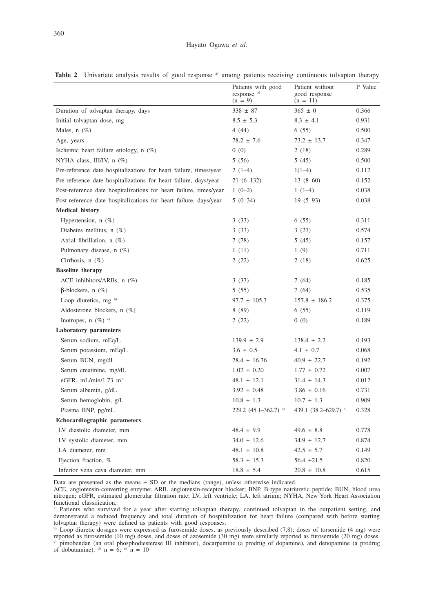|                                                                    | Patients with good<br>response <sup>a)</sup><br>$(n = 9)$ | Patient without<br>good response<br>$(n = 11)$ | P Value |
|--------------------------------------------------------------------|-----------------------------------------------------------|------------------------------------------------|---------|
| Duration of tolvaptan therapy, days                                | $338 \pm 87$                                              | $365 \pm 0$                                    | 0.366   |
| Initial tolvaptan dose, mg                                         | $8.5 \pm 5.3$                                             | $8.3 \pm 4.1$                                  | 0.931   |
| Males, $n$ (%)                                                     | 4(44)                                                     | 6(55)                                          | 0.500   |
| Age, years                                                         | $78.2 \pm 7.6$                                            | $73.2 \pm 13.7$                                | 0.347   |
| Ischemic heart failure etiology, $n$ (%)                           | 0(0)                                                      | 2(18)                                          | 0.289   |
| NYHA class, III/IV, $n$ (%)                                        | 5(56)                                                     | 5 (45)                                         | 0.500   |
| Pre-reference date hospitalizations for heart failure, times/year  | $2(1-4)$                                                  | $1(1-4)$                                       | 0.112   |
| Pre-reference date hospitalizations for heart failure, days/year   | $21(6-132)$                                               | $13(8-60)$                                     | 0.152   |
| Post-reference date hospitalizations for heart failure, times/year | $1(0-2)$                                                  | $1(1-4)$                                       | 0.038   |
| Post-reference date hospitalizations for heart failure, days/year  | $5(0-34)$                                                 | $19(5-93)$                                     | 0.038   |
| <b>Medical history</b>                                             |                                                           |                                                |         |
| Hypertension, n (%)                                                | 3(33)                                                     | 6(55)                                          | 0.311   |
| Diabetes mellitus, n $(\%)$                                        | 3(33)                                                     | 3(27)                                          | 0.574   |
| Atrial fibrillation, $n$ (%)                                       | 7(78)                                                     | 5(45)                                          | 0.157   |
| Pulmonary disease, n (%)                                           | 1(11)                                                     | 1(9)                                           | 0.711   |
| Cirrhosis, $n$ (%)                                                 | 2(22)                                                     | 2(18)                                          | 0.625   |
| <b>Baseline</b> therapy                                            |                                                           |                                                |         |
| ACE inhibitors/ARBs, n (%)                                         | 3(33)                                                     | 7(64)                                          | 0.185   |
| $\beta$ -blockers, n $(\%)$                                        | 5(55)                                                     | 7(64)                                          | 0.535   |
| Loop diuretics, mg $b$                                             | $97.7 \pm 105.3$                                          | $157.8 \pm 186.2$                              | 0.375   |
| Aldosterone blockers, $n(\%)$                                      | 8(89)                                                     | 6(55)                                          | 0.119   |
| Inotropes, $n(\%)$ <sup>c)</sup>                                   | 2(22)                                                     | 0(0)                                           | 0.189   |
| <b>Laboratory</b> parameters                                       |                                                           |                                                |         |
| Serum sodium, mEq/L                                                | $139.9 \pm 2.9$                                           | $138.4 \pm 2.2$                                | 0.193   |
| Serum potassium, mEq/L                                             | $3.6 \pm 0.5$                                             | $4.1 \pm 0.7$                                  | 0.068   |
| Serum BUN, mg/dL                                                   | $28.4 \pm 16.76$                                          | $40.9 \pm 22.7$                                | 0.192   |
| Serum creatinine, mg/dL                                            | $1.02 \pm 0.20$                                           | $1.77 \pm 0.72$                                | 0.007   |
| eGFR, $mL/min/1.73$ $m2$                                           | $48.1 \pm 12.1$                                           | $31.4 \pm 14.3$                                | 0.012   |
| Serum albumin, g/dL                                                | $3.92 \pm 0.48$                                           | $3.86 \pm 0.16$                                | 0.731   |
| Serum hemoglobin, g/L                                              | $10.8 \pm 1.3$                                            | $10.7 \pm 1.3$                                 | 0.909   |
| Plasma BNP, pg/mL                                                  | 229.2 $(45.1 - 362.7)$ <sup>d)</sup>                      | 439.1 $(38.2 - 629.7)$ <sup>e)</sup>           | 0.328   |
| <b>Echocardiographic parameters</b>                                |                                                           |                                                |         |
| LV diastolic diameter, mm                                          | $48.4 \pm 9.9$                                            | $49.6 \pm 8.8$                                 | 0.778   |
| LV systolic diameter, mm                                           | $34.0 \pm 12.6$                                           | $34.9 \pm 12.7$                                | 0.874   |
| LA diameter, mm                                                    | $48.1 \pm 10.8$                                           | $42.5 \pm 5.7$                                 | 0.149   |
| Ejection fraction, %                                               | $58.3 \pm 15.3$                                           | $56.4 \pm 21.5$                                | 0.820   |
| Inferior vena cava diameter, mm                                    | $18.8 \pm 5.4$                                            | $20.8 \pm 10.8$                                | 0.615   |

**Table 2** Univariate analysis results of good response <sup>a)</sup> among patients receiving continuous tolvaptan therapy

Data are presented as the means ± SD or the medians (range), unless otherwise indicated.

ACE, angiotensin-converting enzyme; ARB, angiotensin-receptor blocker; BNP, B-type natriuretic peptide; BUN, blood urea nitrogen; eGFR, estimated glomerular filtration rate; LV, left ventricle; LA, left atrium; NYHA, New York Heart Association

functional classification. a) Patients who survived for a year after starting tolvaptan therapy, continued tolvaptan in the outpatient setting, and demonstrated a reduced frequency and total duration of hospitalization for heart failure (compared with before starting tolvaptan therapy) were defined as patients with good responses. b) Loop diuretic dosages were expressed as furosemide doses, as previously described (7,8); doses of torsemide (4 mg) were

reported as furosemide (10 mg) doses, and doses of azosemide (30 mg) were similarly reported as furosemide (20 mg) doses. c) pimobendan (an oral phosphodiesterase III inhibitor), docarpamine (a prodrug of dopamine), and denopamine (a prodrug of dobutamine).  $\delta$  n = 6;  $\delta$  n = 10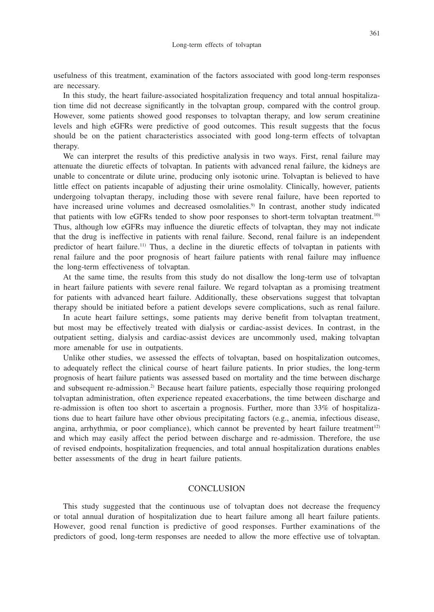usefulness of this treatment, examination of the factors associated with good long-term responses are necessary.

In this study, the heart failure-associated hospitalization frequency and total annual hospitalization time did not decrease significantly in the tolvaptan group, compared with the control group. However, some patients showed good responses to tolvaptan therapy, and low serum creatinine levels and high eGFRs were predictive of good outcomes. This result suggests that the focus should be on the patient characteristics associated with good long-term effects of tolvaptan therapy.

We can interpret the results of this predictive analysis in two ways. First, renal failure may attenuate the diuretic effects of tolvaptan. In patients with advanced renal failure, the kidneys are unable to concentrate or dilute urine, producing only isotonic urine. Tolvaptan is believed to have little effect on patients incapable of adjusting their urine osmolality. Clinically, however, patients undergoing tolvaptan therapy, including those with severe renal failure, have been reported to have increased urine volumes and decreased osmolalities.<sup>9)</sup> In contrast, another study indicated that patients with low eGFRs tended to show poor responses to short-term tolvaptan treatment.10) Thus, although low eGFRs may influence the diuretic effects of tolvaptan, they may not indicate that the drug is ineffective in patients with renal failure. Second, renal failure is an independent predictor of heart failure.11) Thus, a decline in the diuretic effects of tolvaptan in patients with renal failure and the poor prognosis of heart failure patients with renal failure may influence the long-term effectiveness of tolvaptan.

At the same time, the results from this study do not disallow the long-term use of tolvaptan in heart failure patients with severe renal failure. We regard tolvaptan as a promising treatment for patients with advanced heart failure. Additionally, these observations suggest that tolvaptan therapy should be initiated before a patient develops severe complications, such as renal failure.

In acute heart failure settings, some patients may derive benefit from tolvaptan treatment, but most may be effectively treated with dialysis or cardiac-assist devices. In contrast, in the outpatient setting, dialysis and cardiac-assist devices are uncommonly used, making tolvaptan more amenable for use in outpatients.

Unlike other studies, we assessed the effects of tolvaptan, based on hospitalization outcomes, to adequately reflect the clinical course of heart failure patients. In prior studies, the long-term prognosis of heart failure patients was assessed based on mortality and the time between discharge and subsequent re-admission.2) Because heart failure patients, especially those requiring prolonged tolvaptan administration, often experience repeated exacerbations, the time between discharge and re-admission is often too short to ascertain a prognosis. Further, more than 33% of hospitalizations due to heart failure have other obvious precipitating factors (e.g., anemia, infectious disease, angina, arrhythmia, or poor compliance), which cannot be prevented by heart failure treatment<sup>12)</sup> and which may easily affect the period between discharge and re-admission. Therefore, the use of revised endpoints, hospitalization frequencies, and total annual hospitalization durations enables better assessments of the drug in heart failure patients.

#### CONCLUSION

This study suggested that the continuous use of tolvaptan does not decrease the frequency or total annual duration of hospitalization due to heart failure among all heart failure patients. However, good renal function is predictive of good responses. Further examinations of the predictors of good, long-term responses are needed to allow the more effective use of tolvaptan.